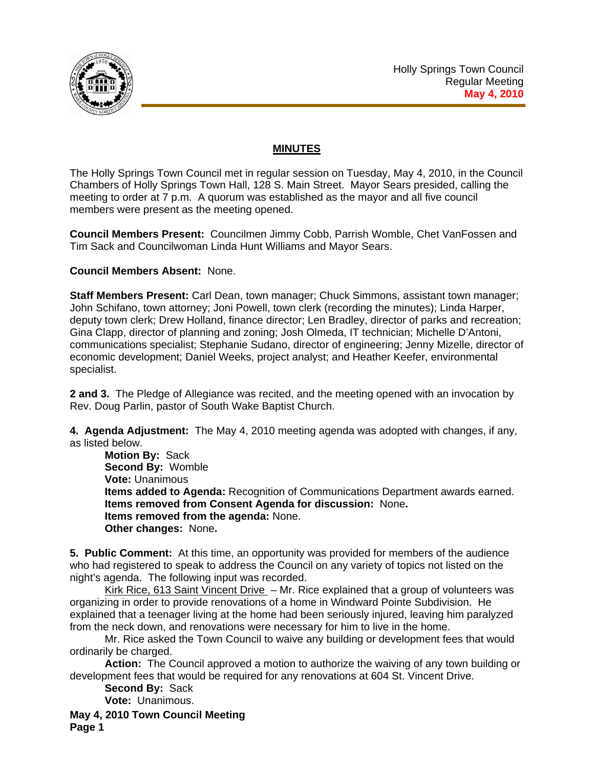

## **MINUTES**

The Holly Springs Town Council met in regular session on Tuesday, May 4, 2010, in the Council Chambers of Holly Springs Town Hall, 128 S. Main Street. Mayor Sears presided, calling the meeting to order at 7 p.m. A quorum was established as the mayor and all five council members were present as the meeting opened.

**Council Members Present:** Councilmen Jimmy Cobb, Parrish Womble, Chet VanFossen and Tim Sack and Councilwoman Linda Hunt Williams and Mayor Sears.

## **Council Members Absent:** None.

**Staff Members Present:** Carl Dean, town manager; Chuck Simmons, assistant town manager; John Schifano, town attorney; Joni Powell, town clerk (recording the minutes); Linda Harper, deputy town clerk; Drew Holland, finance director; Len Bradley, director of parks and recreation; Gina Clapp, director of planning and zoning; Josh Olmeda, IT technician; Michelle D'Antoni, communications specialist; Stephanie Sudano, director of engineering; Jenny Mizelle, director of economic development; Daniel Weeks, project analyst; and Heather Keefer, environmental specialist.

**2 and 3.** The Pledge of Allegiance was recited, and the meeting opened with an invocation by Rev. Doug Parlin, pastor of South Wake Baptist Church.

**4. Agenda Adjustment:** The May 4, 2010 meeting agenda was adopted with changes, if any, as listed below.

**Motion By:** Sack **Second By:** Womble **Vote:** Unanimous **Items added to Agenda:** Recognition of Communications Department awards earned. **Items removed from Consent Agenda for discussion:** None**. Items removed from the agenda:** None. **Other changes:** None**.** 

**5. Public Comment:** At this time, an opportunity was provided for members of the audience who had registered to speak to address the Council on any variety of topics not listed on the night's agenda. The following input was recorded.

Kirk Rice, 613 Saint Vincent Drive – Mr. Rice explained that a group of volunteers was organizing in order to provide renovations of a home in Windward Pointe Subdivision. He explained that a teenager living at the home had been seriously injured, leaving him paralyzed from the neck down, and renovations were necessary for him to live in the home.

Mr. Rice asked the Town Council to waive any building or development fees that would ordinarily be charged.

**Action:** The Council approved a motion to authorize the waiving of any town building or development fees that would be required for any renovations at 604 St. Vincent Drive.

**Second By:** Sack **Vote:** Unanimous.

**May 4, 2010 Town Council Meeting Page 1**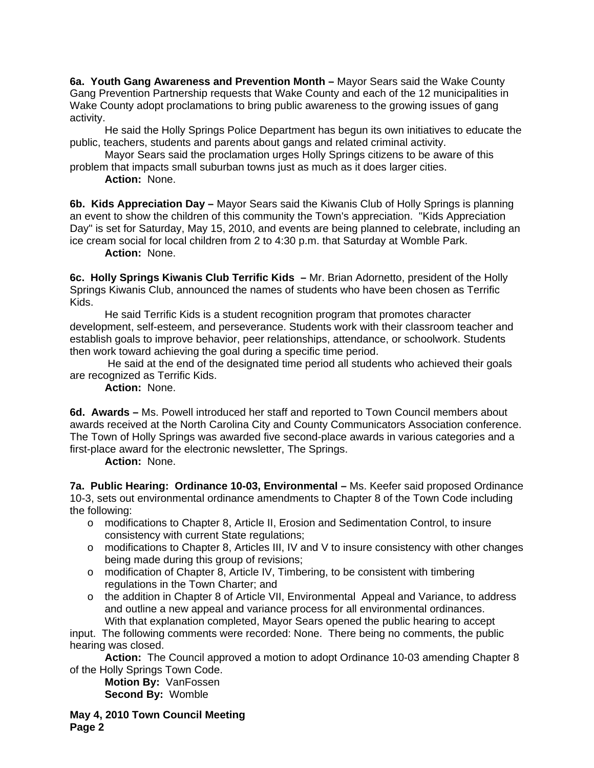**6a. Youth Gang Awareness and Prevention Month –** Mayor Sears said the Wake County Gang Prevention Partnership requests that Wake County and each of the 12 municipalities in Wake County adopt proclamations to bring public awareness to the growing issues of gang activity.

 He said the Holly Springs Police Department has begun its own initiatives to educate the public, teachers, students and parents about gangs and related criminal activity.

 Mayor Sears said the proclamation urges Holly Springs citizens to be aware of this problem that impacts small suburban towns just as much as it does larger cities.

**Action:** None.

**6b. Kids Appreciation Day –** Mayor Sears said the Kiwanis Club of Holly Springs is planning an event to show the children of this community the Town's appreciation. "Kids Appreciation Day" is set for Saturday, May 15, 2010, and events are being planned to celebrate, including an ice cream social for local children from 2 to 4:30 p.m. that Saturday at Womble Park.

**Action:** None.

**6c. Holly Springs Kiwanis Club Terrific Kids –** Mr. Brian Adornetto, president of the Holly Springs Kiwanis Club, announced the names of students who have been chosen as Terrific Kids.

 He said Terrific Kids is a student recognition program that promotes character development, self-esteem, and perseverance. Students work with their classroom teacher and establish goals to improve behavior, peer relationships, attendance, or schoolwork. Students then work toward achieving the goal during a specific time period.

 He said at the end of the designated time period all students who achieved their goals are recognized as Terrific Kids.

**Action:** None.

**6d. Awards –** Ms. Powell introduced her staff and reported to Town Council members about awards received at the North Carolina City and County Communicators Association conference. The Town of Holly Springs was awarded five second-place awards in various categories and a first-place award for the electronic newsletter, The Springs.

 **Action:** None.

**7a. Public Hearing: Ordinance 10-03, Environmental –** Ms. Keefer said proposed Ordinance 10-3, sets out environmental ordinance amendments to Chapter 8 of the Town Code including the following:

- o modifications to Chapter 8, Article II, Erosion and Sedimentation Control, to insure consistency with current State regulations;
- $\circ$  modifications to Chapter 8, Articles III, IV and V to insure consistency with other changes being made during this group of revisions;
- $\circ$  modification of Chapter 8, Article IV, Timbering, to be consistent with timbering regulations in the Town Charter; and
- $\circ$  the addition in Chapter 8 of Article VII, Environmental Appeal and Variance, to address and outline a new appeal and variance process for all environmental ordinances. With that explanation completed, Mayor Sears opened the public hearing to accept

input. The following comments were recorded: None. There being no comments, the public hearing was closed.

 **Action:** The Council approved a motion to adopt Ordinance 10-03 amending Chapter 8 of the Holly Springs Town Code.

**Motion By:** VanFossen **Second By:** Womble

**May 4, 2010 Town Council Meeting Page 2**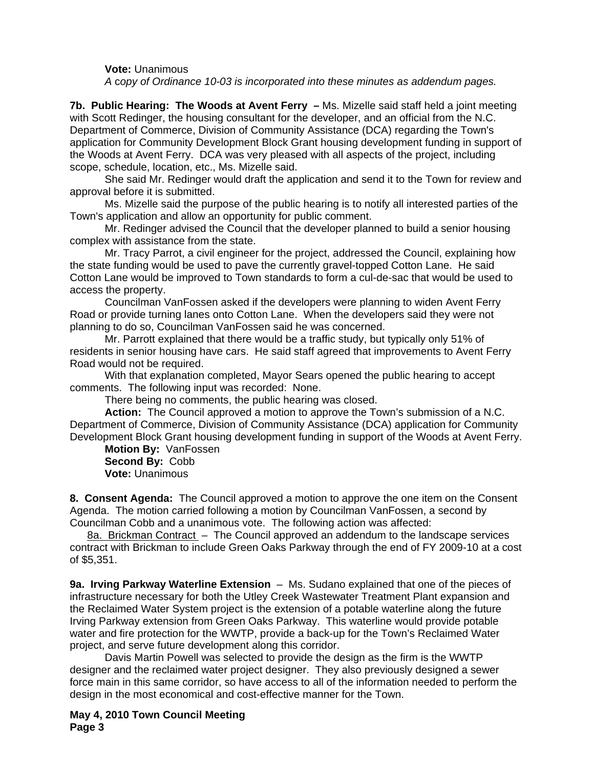**Vote:** Unanimous  *A* c*opy of Ordinance 10-03 is incorporated into these minutes as addendum pages.*

**7b. Public Hearing: The Woods at Avent Ferry –** Ms. Mizelle said staff held a joint meeting with Scott Redinger, the housing consultant for the developer, and an official from the N.C. Department of Commerce, Division of Community Assistance (DCA) regarding the Town's application for Community Development Block Grant housing development funding in support of the Woods at Avent Ferry. DCA was very pleased with all aspects of the project, including scope, schedule, location, etc., Ms. Mizelle said.

 She said Mr. Redinger would draft the application and send it to the Town for review and approval before it is submitted.

 Ms. Mizelle said the purpose of the public hearing is to notify all interested parties of the Town's application and allow an opportunity for public comment.

Mr. Redinger advised the Council that the developer planned to build a senior housing complex with assistance from the state.

Mr. Tracy Parrot, a civil engineer for the project, addressed the Council, explaining how the state funding would be used to pave the currently gravel-topped Cotton Lane. He said Cotton Lane would be improved to Town standards to form a cul-de-sac that would be used to access the property.

Councilman VanFossen asked if the developers were planning to widen Avent Ferry Road or provide turning lanes onto Cotton Lane. When the developers said they were not planning to do so, Councilman VanFossen said he was concerned.

Mr. Parrott explained that there would be a traffic study, but typically only 51% of residents in senior housing have cars. He said staff agreed that improvements to Avent Ferry Road would not be required.

With that explanation completed, Mayor Sears opened the public hearing to accept comments. The following input was recorded: None.

There being no comments, the public hearing was closed.

**Action:** The Council approved a motion to approve the Town's submission of a N.C. Department of Commerce, Division of Community Assistance (DCA) application for Community Development Block Grant housing development funding in support of the Woods at Avent Ferry.

**Motion By:** VanFossen **Second By:** Cobb **Vote:** Unanimous

**8. Consent Agenda:** The Council approved a motion to approve the one item on the Consent Agenda. The motion carried following a motion by Councilman VanFossen, a second by Councilman Cobb and a unanimous vote. The following action was affected:

8a. Brickman Contract – The Council approved an addendum to the landscape services contract with Brickman to include Green Oaks Parkway through the end of FY 2009-10 at a cost of \$5,351.

**9a. Irving Parkway Waterline Extension** – Ms. Sudano explained that one of the pieces of infrastructure necessary for both the Utley Creek Wastewater Treatment Plant expansion and the Reclaimed Water System project is the extension of a potable waterline along the future Irving Parkway extension from Green Oaks Parkway. This waterline would provide potable water and fire protection for the WWTP, provide a back-up for the Town's Reclaimed Water project, and serve future development along this corridor.

 Davis Martin Powell was selected to provide the design as the firm is the WWTP designer and the reclaimed water project designer. They also previously designed a sewer force main in this same corridor, so have access to all of the information needed to perform the design in the most economical and cost-effective manner for the Town.

**May 4, 2010 Town Council Meeting Page 3**